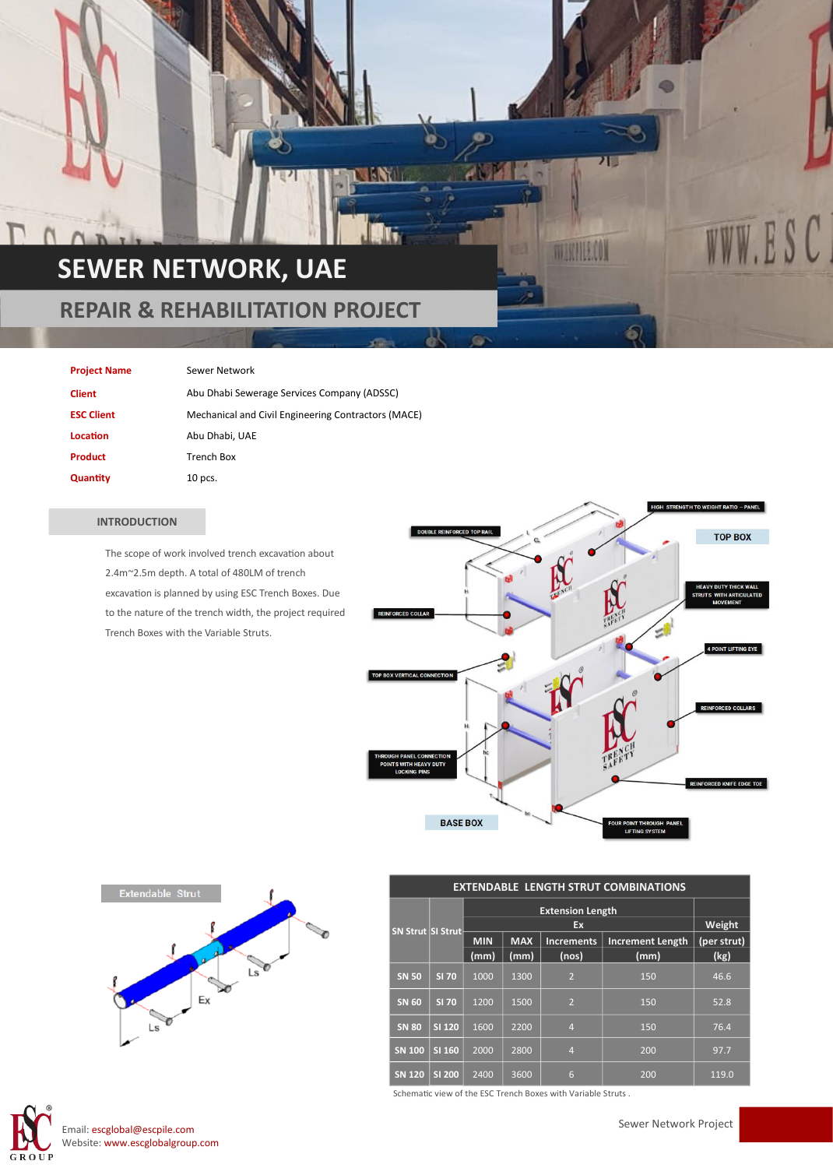# **SEWER NETWORK, UAE**

### **REPAIR & REHABILITATION PROJECT**

#### **Project Name** Sewer Network

| <b>Client</b>     | Abu Dhabi Sewerage Services Company (ADSSC)         |
|-------------------|-----------------------------------------------------|
| <b>ESC Client</b> | Mechanical and Civil Engineering Contractors (MACE) |
| Location          | Abu Dhabi, UAE                                      |
| Product           | Trench Box                                          |
| Quantity          | $10$ pcs.                                           |

#### **INTRODUCTION**

The scope of work involved trench excavation about 2.4m~2.5m depth. A total of 480LM of trench excavation is planned by using ESC Trench Boxes. Due to the nature of the trench width, the project required Trench Boxes with the Variable Struts.



**MAKHIELON** 

454



| <b>EXTENDABLE LENGTH STRUT COMBINATIONS</b> |               |                               |            |                   |                         |             |  |
|---------------------------------------------|---------------|-------------------------------|------------|-------------------|-------------------------|-------------|--|
| <b>SN Strut SI Strut-</b>                   |               | <b>Extension Length</b><br>Ex |            |                   |                         |             |  |
|                                             |               |                               | Weight     |                   |                         |             |  |
|                                             |               | <b>MIN</b>                    | <b>MAX</b> | <b>Increments</b> | <b>Increment Length</b> | (per strut) |  |
|                                             |               | (mm)                          | (mm)       | (nos)             | (mm)                    | (kg)        |  |
| <b>SN 50</b>                                | <b>SI 70</b>  | 1000                          | 1300       | $\overline{2}$    | 150                     | 46.6        |  |
| <b>SN 60</b>                                | <b>SI 70</b>  | 1200                          | 1500       | $\overline{2}$    | 150                     | 52.8        |  |
| <b>SN 80</b>                                | SI 120        | 1600                          | 2200       | $\overline{4}$    | 150                     | 76.4        |  |
| <b>SN 100</b>                               | SI 160        | 2000                          | 2800       | $\overline{4}$    | 200                     | 97.7        |  |
| <b>SN 120</b>                               | <b>SI 200</b> | 2400                          | 3600       | 6                 | 200                     | 119.0       |  |

Schematic view of the ESC Trench Boxes with Variable Struts .



Email: escglobal@escpile.com Website: www.escglobalgroup.com Sewer Network Project

WW.ESC